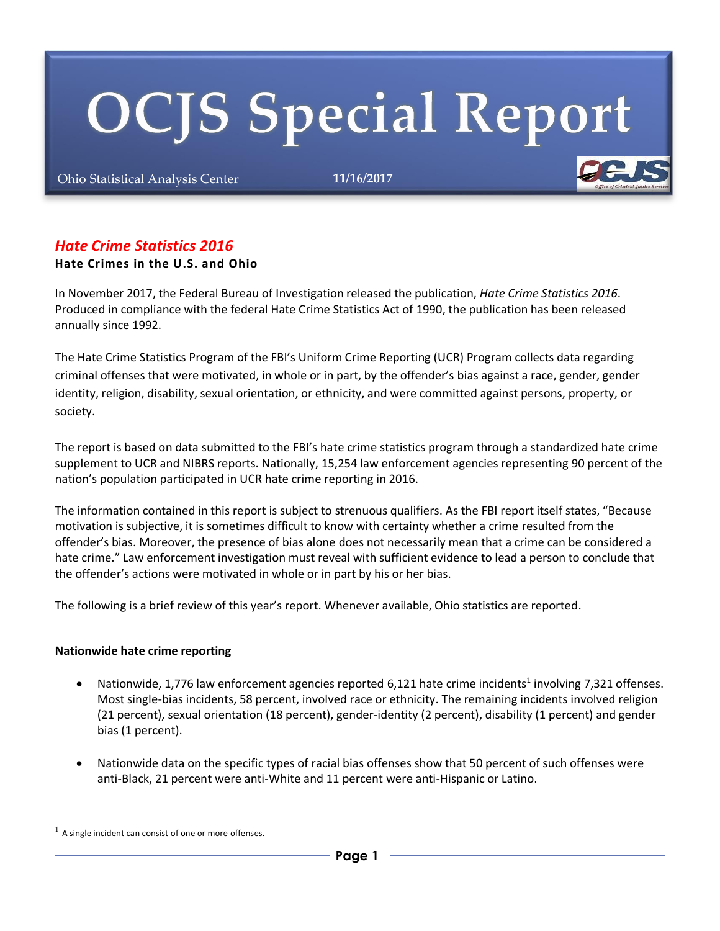# **OCJS Special Report**

Ohio Statistical Analysis Center **11/16/2017**

# *Hate Crime Statistics 2016*

#### **Hate Crimes in the U.S. and Ohio**

In November 2017, the Federal Bureau of Investigation released the publication, *Hate Crime Statistics 2016*. Produced in compliance with the federal Hate Crime Statistics Act of 1990, the publication has been released annually since 1992.

The Hate Crime Statistics Program of the FBI's Uniform Crime Reporting (UCR) Program collects data regarding criminal offenses that were motivated, in whole or in part, by the offender's bias against a race, gender, gender identity, religion, disability, sexual orientation, or ethnicity, and were committed against persons, property, or society.

The report is based on data submitted to the FBI's hate crime statistics program through a standardized hate crime supplement to UCR and NIBRS reports. Nationally, 15,254 law enforcement agencies representing 90 percent of the nation's population participated in UCR hate crime reporting in 2016.

The information contained in this report is subject to strenuous qualifiers. As the FBI report itself states, "Because motivation is subjective, it is sometimes difficult to know with certainty whether a crime resulted from the offender's bias. Moreover, the presence of bias alone does not necessarily mean that a crime can be considered a hate crime." Law enforcement investigation must reveal with sufficient evidence to lead a person to conclude that the offender's actions were motivated in whole or in part by his or her bias.

The following is a brief review of this year's report. Whenever available, Ohio statistics are reported.

#### **Nationwide hate crime reporting**

- Nationwide, 1,776 law enforcement agencies reported 6,121 hate crime incidents<sup>1</sup> involving 7,321 offenses. Most single-bias incidents, 58 percent, involved race or ethnicity. The remaining incidents involved religion (21 percent), sexual orientation (18 percent), gender-identity (2 percent), disability (1 percent) and gender bias (1 percent).
- Nationwide data on the specific types of racial bias offenses show that 50 percent of such offenses were anti-Black, 21 percent were anti-White and 11 percent were anti-Hispanic or Latino.

 $<sup>1</sup>$  A single incident can consist of one or more offenses.</sup>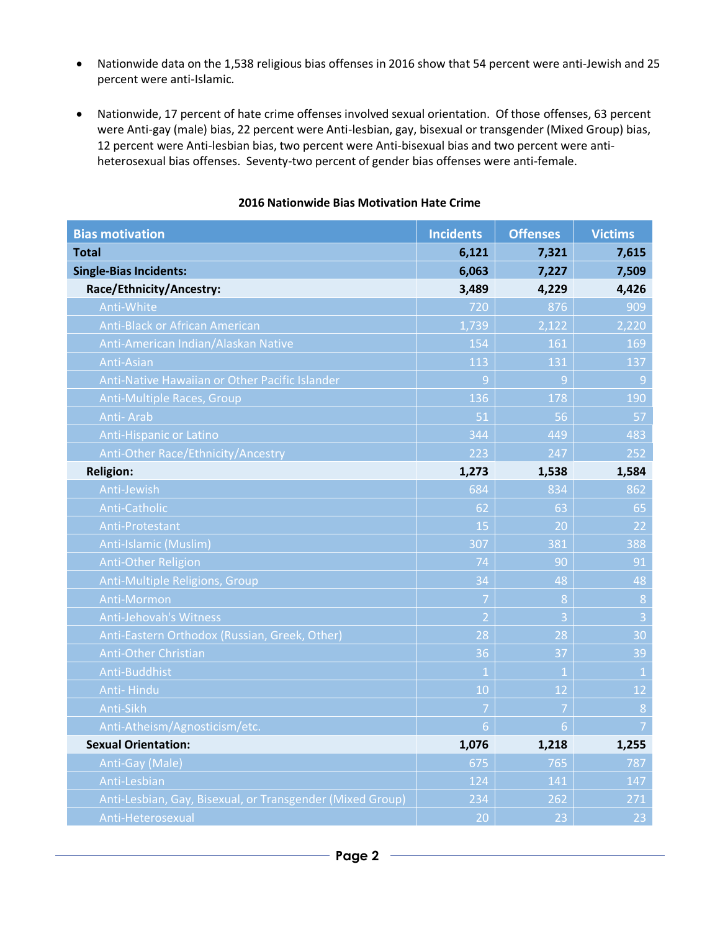- Nationwide data on the 1,538 religious bias offenses in 2016 show that 54 percent were anti-Jewish and 25 percent were anti-Islamic.
- Nationwide, 17 percent of hate crime offenses involved sexual orientation. Of those offenses, 63 percent were Anti-gay (male) bias, 22 percent were Anti-lesbian, gay, bisexual or transgender (Mixed Group) bias, 12 percent were Anti-lesbian bias, two percent were Anti-bisexual bias and two percent were antiheterosexual bias offenses. Seventy-two percent of gender bias offenses were anti-female.

| <b>Bias motivation</b>                                    | <b>Incidents</b> | <b>Offenses</b> | <b>Victims</b> |
|-----------------------------------------------------------|------------------|-----------------|----------------|
| <b>Total</b>                                              | 6,121            | 7,321           | 7,615          |
| <b>Single-Bias Incidents:</b>                             | 6,063            | 7,227           | 7,509          |
| Race/Ethnicity/Ancestry:                                  | 3,489            | 4,229           | 4,426          |
| Anti-White                                                | 720              | 876             | 909            |
| <b>Anti-Black or African American</b>                     | 1,739            | 2,122           | 2,220          |
| Anti-American Indian/Alaskan Native                       | 154              | 161             | 169            |
| Anti-Asian                                                | 113              | 131             | 137            |
| Anti-Native Hawaiian or Other Pacific Islander            | 9                | 9               | 9              |
| Anti-Multiple Races, Group                                | 136              | 178             | 190            |
| <b>Anti-Arab</b>                                          | 51               | 56              | 57             |
| <b>Anti-Hispanic or Latino</b>                            | 344              | 449             | 483            |
| Anti-Other Race/Ethnicity/Ancestry                        | 223              | 247             | 252            |
| <b>Religion:</b>                                          | 1,273            | 1,538           | 1,584          |
| Anti-Jewish                                               | 684              | 834             | 862            |
| Anti-Catholic                                             | 62               | 63              | 65             |
| <b>Anti-Protestant</b>                                    | 15               | 20              | 22             |
| Anti-Islamic (Muslim)                                     | 307              | 381             | 388            |
| <b>Anti-Other Religion</b>                                | 74               | 90              | 91             |
| Anti-Multiple Religions, Group                            | 34               | 48              | 48             |
| Anti-Mormon                                               | 7                | 8               | 8              |
| <b>Anti-Jehovah's Witness</b>                             | $\overline{2}$   | $\overline{3}$  | $\overline{3}$ |
| Anti-Eastern Orthodox (Russian, Greek, Other)             | $\overline{28}$  | 28              | 30             |
| <b>Anti-Other Christian</b>                               | 36               | 37              | 39             |
| Anti-Buddhist                                             | $\mathbf{1}$     | $\mathbf{1}$    | $\overline{1}$ |
| Anti-Hindu                                                | 10               | 12              | 12             |
| Anti-Sikh                                                 | $\overline{7}$   | $\overline{7}$  | $\overline{8}$ |
| Anti-Atheism/Agnosticism/etc.                             | $6\overline{6}$  | $\overline{6}$  | $\overline{7}$ |
| <b>Sexual Orientation:</b>                                | 1,076            | 1,218           | 1,255          |
| Anti-Gay (Male)                                           | 675              | 765             | 787            |
| Anti-Lesbian                                              | 124              | 141             | 147            |
| Anti-Lesbian, Gay, Bisexual, or Transgender (Mixed Group) | 234              | 262             | 271            |
| Anti-Heterosexual                                         | 20 <sup>o</sup>  | 23              | 23             |

### **2016 Nationwide Bias Motivation Hate Crime**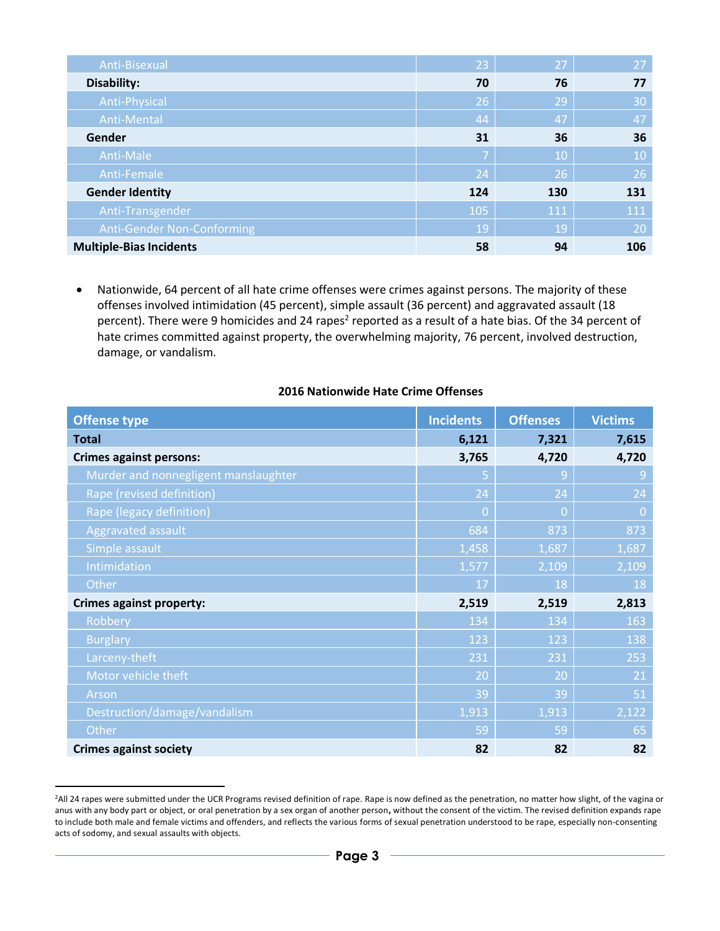| Anti-Bisexual                  | 23  | 27  | 27  |
|--------------------------------|-----|-----|-----|
| Disability:                    | 70  | 76  | 77  |
| Anti-Physical                  | 26  | 29  | 30  |
| Anti-Mental                    | 44  | 47  | 47  |
| Gender                         | 31  | 36  | 36  |
| Anti-Male                      | 7   | 10  | 10  |
| Anti-Female                    | 24  | 26  | 26  |
| <b>Gender Identity</b>         | 124 | 130 | 131 |
| Anti-Transgender               | 105 | 111 | 111 |
| Anti-Gender Non-Conforming     | 19  | 19  | 20  |
| <b>Multiple-Bias Incidents</b> | 58  | 94  | 106 |

 Nationwide, 64 percent of all hate crime offenses were crimes against persons. The majority of these offenses involved intimidation (45 percent), simple assault (36 percent) and aggravated assault (18 percent). There were 9 homicides and 24 rapes<sup>2</sup> reported as a result of a hate bias. Of the 34 percent of hate crimes committed against property, the overwhelming majority, 76 percent, involved destruction, damage, or vandalism.

#### **2016 Nationwide Hate Crime Offenses**

| <b>Offense type</b>                  | <b>Incidents</b> | <b>Offenses</b> | <b>Victims</b> |
|--------------------------------------|------------------|-----------------|----------------|
| <b>Total</b>                         | 6,121            | 7,321           | 7,615          |
| <b>Crimes against persons:</b>       | 3,765            | 4,720           | 4,720          |
| Murder and nonnegligent manslaughter | 5                | 9               | $\overline{9}$ |
| Rape (revised definition)            | 24               | 24              | 24             |
| Rape (legacy definition)             | $\overline{0}$   | $\Omega$        | $\overline{0}$ |
| Aggravated assault                   | 684              | 873             | 873            |
| Simple assault                       | 1,458            | 1,687           | 1,687          |
| Intimidation                         | 1,577            | 2,109           | 2,109          |
| Other                                | 17               | 18              | 18             |
| <b>Crimes against property:</b>      | 2,519            | 2,519           | 2,813          |
| Robbery                              | 134              | 134             | 163            |
| <b>Burglary</b>                      | 123              | 123             | 138            |
| Larceny-theft                        | 231              | 231             | 253            |
| Motor vehicle theft                  | 20               | 20              | 21             |
| Arson                                | 39               | 39              | 51             |
| Destruction/damage/vandalism         | 1,913            | 1,913           | 2,122          |
| Other                                | 59               | 59              | 65             |
| <b>Crimes against society</b>        | 82               | 82              | 82             |

<sup>&</sup>lt;sup>2</sup>All 24 rapes were submitted under the UCR Programs revised definition of rape. Rape is now defined as the penetration, no matter how slight, of the vagina or anus with any body part or object, or oral penetration by a sex organ of another person**,** without the consent of the victim. The revised definition expands rape to include both male and female victims and offenders, and reflects the various forms of sexual penetration understood to be rape, especially non-consenting acts of sodomy, and sexual assaults with objects.

-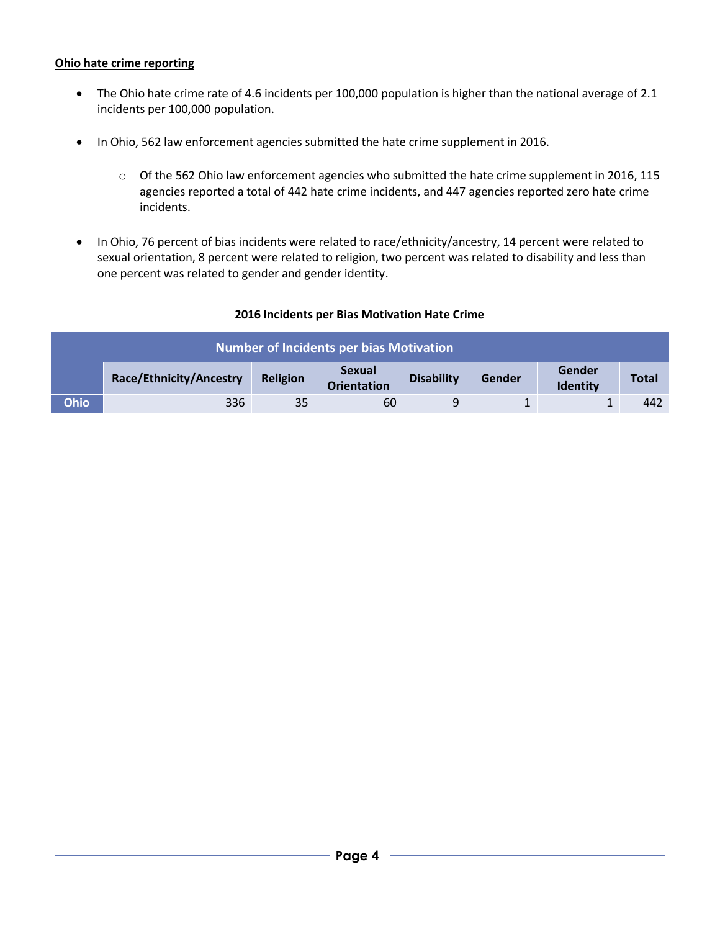### **Ohio hate crime reporting**

- The Ohio hate crime rate of 4.6 incidents per 100,000 population is higher than the national average of 2.1 incidents per 100,000 population.
- In Ohio, 562 law enforcement agencies submitted the hate crime supplement in 2016.
	- o Of the 562 Ohio law enforcement agencies who submitted the hate crime supplement in 2016, 115 agencies reported a total of 442 hate crime incidents, and 447 agencies reported zero hate crime incidents.
- In Ohio, 76 percent of bias incidents were related to race/ethnicity/ancestry, 14 percent were related to sexual orientation, 8 percent were related to religion, two percent was related to disability and less than one percent was related to gender and gender identity.

## **2016 Incidents per Bias Motivation Hate Crime**

| <b>Number of Incidents per bias Motivation</b> |                         |          |                                     |                   |        |                           |              |
|------------------------------------------------|-------------------------|----------|-------------------------------------|-------------------|--------|---------------------------|--------------|
|                                                | Race/Ethnicity/Ancestry | Religion | <b>Sexual</b><br><b>Orientation</b> | <b>Disability</b> | Gender | Gender<br><b>Identity</b> | <b>Total</b> |
| <b>Ohio</b>                                    | 336                     | 35       | 60                                  | q                 |        |                           | 442          |